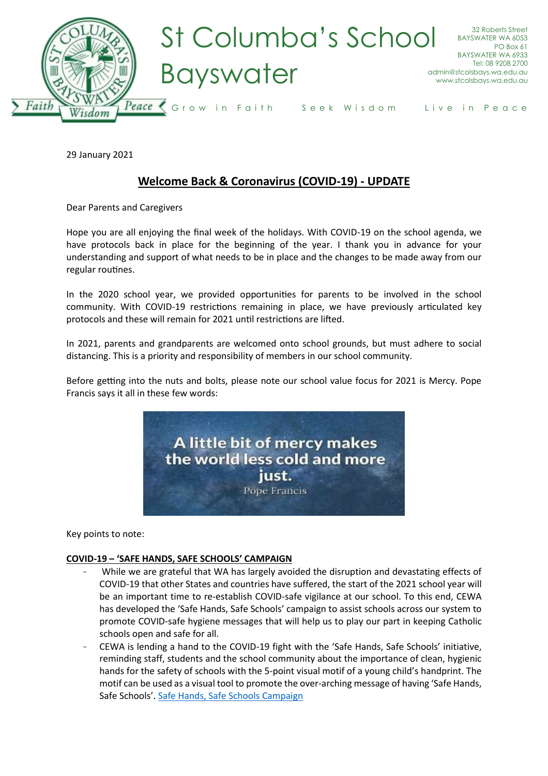

29 January 2021

# **Welcome Back & Coronavirus (COVID-19) - UPDATE**

Dear Parents and Caregivers

Hope you are all enjoying the final week of the holidays. With COVID-19 on the school agenda, we have protocols back in place for the beginning of the year. I thank you in advance for your understanding and support of what needs to be in place and the changes to be made away from our regular routines.

In the 2020 school year, we provided opportunities for parents to be involved in the school community. With COVID-19 restrictions remaining in place, we have previously articulated key protocols and these will remain for 2021 until restrictions are lifted.

In 2021, parents and grandparents are welcomed onto school grounds, but must adhere to social distancing. This is a priority and responsibility of members in our school community.

Before getting into the nuts and bolts, please note our school value focus for 2021 is Mercy. Pope Francis says it all in these few words:



Key points to note:

#### **COVID-19 – 'SAFE HANDS, SAFE SCHOOLS' CAMPAIGN**

- While we are grateful that WA has largely avoided the disruption and devastating effects of COVID-19 that other States and countries have suffered, the start of the 2021 school year will be an important time to re-establish COVID-safe vigilance at our school. To this end, CEWA has developed the 'Safe Hands, Safe Schools' campaign to assist schools across our system to promote COVID-safe hygiene messages that will help us to play our part in keeping Catholic schools open and safe for all.
- CEWA is lending a hand to the COVID-19 fight with the 'Safe Hands, Safe Schools' initiative, reminding staff, students and the school community about the importance of clean, hygienic hands for the safety of schools with the 5-point visual motif of a young child's handprint. The motif can be used as a visual tool to promote the over-arching message of having 'Safe Hands, Safe Schools'. [Safe Hands, Safe Schools Campaign](https://aus01.safelinks.protection.outlook.com/?url=https%3A%2F%2Fwww.stpeters.wa.edu.au%2Fwp-content%2Fuploads%2F2021%2F01%2FRemember-Safe-Hands.pdf&data=04%7C01%7CArt.Lombardi%40cewa.edu.au%7C24008a5d3f5046e8e86208d8c31366e4%7Cc5852f2336334f29b38651da53e35e23%7C0%7C0%7C637473835538853684%7CUnknown%7CTWFpbGZsb3d8eyJWIjoiMC4wLjAwMDAiLCJQIjoiV2luMzIiLCJBTiI6Ik1haWwiLCJXVCI6Mn0%3D%7C1000&sdata=dsBW9sL%2FcemaSEXzm29Nu4kUvVWtKanN2t8yEeqJKs8%3D&reserved=0)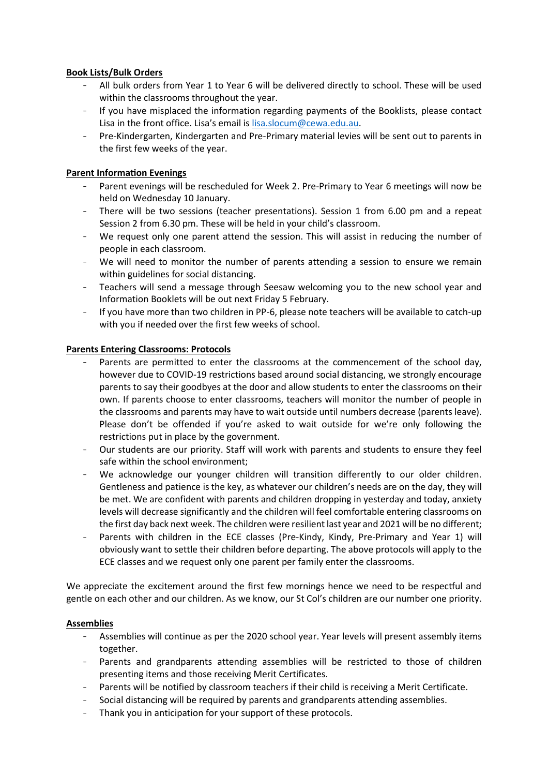## **Book Lists/Bulk Orders**

- All bulk orders from Year 1 to Year 6 will be delivered directly to school. These will be used within the classrooms throughout the year.
- If you have misplaced the information regarding payments of the Booklists, please contact Lisa in the front office. Lisa's email is [lisa.slocum@cewa.edu.au.](mailto:lisa.slocum@cewa.edu.au)
- Pre-Kindergarten, Kindergarten and Pre-Primary material levies will be sent out to parents in the first few weeks of the year.

## **Parent Information Evenings**

- Parent evenings will be rescheduled for Week 2. Pre-Primary to Year 6 meetings will now be held on Wednesday 10 January.
- There will be two sessions (teacher presentations). Session 1 from 6.00 pm and a repeat Session 2 from 6.30 pm. These will be held in your child's classroom.
- We request only one parent attend the session. This will assist in reducing the number of people in each classroom.
- We will need to monitor the number of parents attending a session to ensure we remain within guidelines for social distancing.
- Teachers will send a message through Seesaw welcoming you to the new school year and Information Booklets will be out next Friday 5 February.
- If you have more than two children in PP-6, please note teachers will be available to catch-up with you if needed over the first few weeks of school.

#### **Parents Entering Classrooms: Protocols**

- Parents are permitted to enter the classrooms at the commencement of the school day, however due to COVID-19 restrictions based around social distancing, we strongly encourage parents to say their goodbyes at the door and allow students to enter the classrooms on their own. If parents choose to enter classrooms, teachers will monitor the number of people in the classrooms and parents may have to wait outside until numbers decrease (parents leave). Please don't be offended if you're asked to wait outside for we're only following the restrictions put in place by the government.
- Our students are our priority. Staff will work with parents and students to ensure they feel safe within the school environment;
- We acknowledge our younger children will transition differently to our older children. Gentleness and patience is the key, as whatever our children's needs are on the day, they will be met. We are confident with parents and children dropping in yesterday and today, anxiety levels will decrease significantly and the children will feel comfortable entering classrooms on the first day back next week. The children were resilient last year and 2021 will be no different;
- Parents with children in the ECE classes (Pre-Kindy, Kindy, Pre-Primary and Year 1) will obviously want to settle their children before departing. The above protocols will apply to the ECE classes and we request only one parent per family enter the classrooms.

We appreciate the excitement around the first few mornings hence we need to be respectful and gentle on each other and our children. As we know, our St Col's children are our number one priority.

#### **Assemblies**

- Assemblies will continue as per the 2020 school year. Year levels will present assembly items together.
- Parents and grandparents attending assemblies will be restricted to those of children presenting items and those receiving Merit Certificates.
- Parents will be notified by classroom teachers if their child is receiving a Merit Certificate.
- Social distancing will be required by parents and grandparents attending assemblies.
- Thank you in anticipation for your support of these protocols.